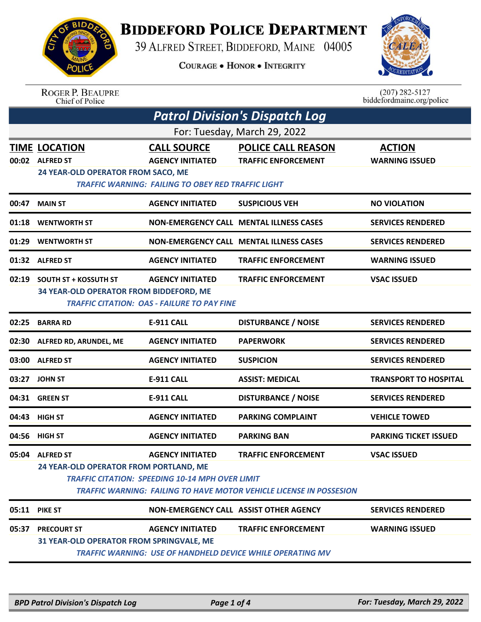

## **BIDDEFORD POLICE DEPARTMENT**

39 ALFRED STREET, BIDDEFORD, MAINE 04005

**COURAGE . HONOR . INTEGRITY** 



## ROGER P. BEAUPRE<br>Chief of Police

 $(207)$  282-5127<br>biddefordmaine.org/police

| <b>Patrol Division's Dispatch Log</b> |                                                                                                                                                                                                                                                                           |                                                                                                     |                                                                                                 |                                        |  |
|---------------------------------------|---------------------------------------------------------------------------------------------------------------------------------------------------------------------------------------------------------------------------------------------------------------------------|-----------------------------------------------------------------------------------------------------|-------------------------------------------------------------------------------------------------|----------------------------------------|--|
| For: Tuesday, March 29, 2022          |                                                                                                                                                                                                                                                                           |                                                                                                     |                                                                                                 |                                        |  |
|                                       | <b>TIME LOCATION</b><br>00:02 ALFRED ST<br>24 YEAR-OLD OPERATOR FROM SACO, ME                                                                                                                                                                                             | <b>CALL SOURCE</b><br><b>AGENCY INITIATED</b><br>TRAFFIC WARNING: FAILING TO OBEY RED TRAFFIC LIGHT | <b>POLICE CALL REASON</b><br><b>TRAFFIC ENFORCEMENT</b>                                         | <b>ACTION</b><br><b>WARNING ISSUED</b> |  |
| 00:47                                 | <b>MAIN ST</b>                                                                                                                                                                                                                                                            | <b>AGENCY INITIATED</b>                                                                             | <b>SUSPICIOUS VEH</b>                                                                           | <b>NO VIOLATION</b>                    |  |
| 01:18                                 | <b>WENTWORTH ST</b>                                                                                                                                                                                                                                                       |                                                                                                     | <b>NON-EMERGENCY CALL MENTAL ILLNESS CASES</b>                                                  | <b>SERVICES RENDERED</b>               |  |
| 01:29                                 | <b>WENTWORTH ST</b>                                                                                                                                                                                                                                                       |                                                                                                     | <b>NON-EMERGENCY CALL MENTAL ILLNESS CASES</b>                                                  | <b>SERVICES RENDERED</b>               |  |
|                                       | 01:32 ALFRED ST                                                                                                                                                                                                                                                           | <b>AGENCY INITIATED</b>                                                                             | <b>TRAFFIC ENFORCEMENT</b>                                                                      | <b>WARNING ISSUED</b>                  |  |
| 02:19                                 | <b>SOUTH ST + KOSSUTH ST</b><br><b>AGENCY INITIATED</b><br><b>TRAFFIC ENFORCEMENT</b><br><b>VSAC ISSUED</b><br>34 YEAR-OLD OPERATOR FROM BIDDEFORD, ME<br><b>TRAFFIC CITATION: OAS - FAILURE TO PAY FINE</b>                                                              |                                                                                                     |                                                                                                 |                                        |  |
| 02:25                                 | <b>BARRA RD</b>                                                                                                                                                                                                                                                           | <b>E-911 CALL</b>                                                                                   | <b>DISTURBANCE / NOISE</b>                                                                      | <b>SERVICES RENDERED</b>               |  |
|                                       | 02:30 ALFRED RD, ARUNDEL, ME                                                                                                                                                                                                                                              | <b>AGENCY INITIATED</b>                                                                             | <b>PAPERWORK</b>                                                                                | <b>SERVICES RENDERED</b>               |  |
| 03:00                                 | <b>ALFRED ST</b>                                                                                                                                                                                                                                                          | <b>AGENCY INITIATED</b>                                                                             | <b>SUSPICION</b>                                                                                | <b>SERVICES RENDERED</b>               |  |
| 03:27                                 | <b>JOHN ST</b>                                                                                                                                                                                                                                                            | <b>E-911 CALL</b>                                                                                   | <b>ASSIST: MEDICAL</b>                                                                          | <b>TRANSPORT TO HOSPITAL</b>           |  |
|                                       | 04:31 GREEN ST                                                                                                                                                                                                                                                            | <b>E-911 CALL</b>                                                                                   | <b>DISTURBANCE / NOISE</b>                                                                      | <b>SERVICES RENDERED</b>               |  |
| 04:43                                 | <b>HIGH ST</b>                                                                                                                                                                                                                                                            | <b>AGENCY INITIATED</b>                                                                             | <b>PARKING COMPLAINT</b>                                                                        | <b>VEHICLE TOWED</b>                   |  |
| 04:56                                 | <b>HIGH ST</b>                                                                                                                                                                                                                                                            | <b>AGENCY INITIATED</b>                                                                             | <b>PARKING BAN</b>                                                                              | <b>PARKING TICKET ISSUED</b>           |  |
|                                       | <b>TRAFFIC ENFORCEMENT</b><br>05:04 ALFRED ST<br><b>AGENCY INITIATED</b><br><b>VSAC ISSUED</b><br>24 YEAR-OLD OPERATOR FROM PORTLAND, ME<br><b>TRAFFIC CITATION: SPEEDING 10-14 MPH OVER LIMIT</b><br>TRAFFIC WARNING: FAILING TO HAVE MOTOR VEHICLE LICENSE IN POSSESION |                                                                                                     |                                                                                                 |                                        |  |
|                                       | 05:11 PIKE ST                                                                                                                                                                                                                                                             | NON-EMERGENCY CALL ASSIST OTHER AGENCY                                                              |                                                                                                 | <b>SERVICES RENDERED</b>               |  |
| 05:37                                 | <b>PRECOURT ST</b><br>31 YEAR-OLD OPERATOR FROM SPRINGVALE, ME                                                                                                                                                                                                            | <b>AGENCY INITIATED</b>                                                                             | <b>TRAFFIC ENFORCEMENT</b><br><b>TRAFFIC WARNING: USE OF HANDHELD DEVICE WHILE OPERATING MV</b> | <b>WARNING ISSUED</b>                  |  |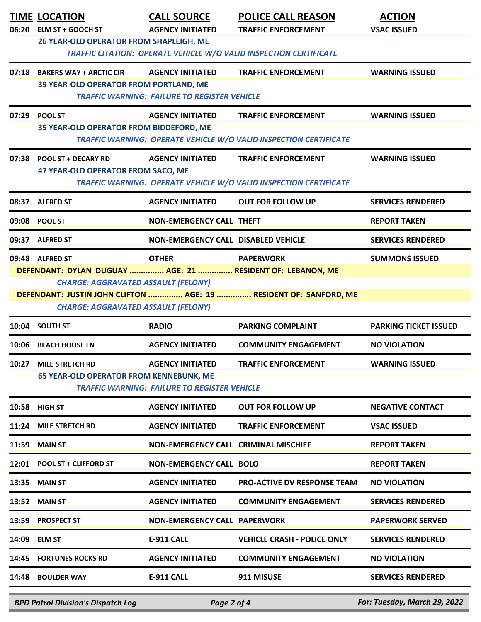|       | <b>TIME LOCATION</b><br>06:20 ELM ST + GOOCH ST<br>26 YEAR-OLD OPERATOR FROM SHAPLEIGH, ME                                                                                | <b>CALL SOURCE</b><br><b>AGENCY INITIATED</b>                                  | <b>POLICE CALL REASON</b><br><b>TRAFFIC ENFORCEMENT</b><br>TRAFFIC CITATION: OPERATE VEHICLE W/O VALID INSPECTION CERTIFICATE | <b>ACTION</b><br><b>VSAC ISSUED</b> |
|-------|---------------------------------------------------------------------------------------------------------------------------------------------------------------------------|--------------------------------------------------------------------------------|-------------------------------------------------------------------------------------------------------------------------------|-------------------------------------|
|       | 07:18 BAKERS WAY + ARCTIC CIR<br>39 YEAR-OLD OPERATOR FROM PORTLAND, ME                                                                                                   | <b>AGENCY INITIATED</b><br><b>TRAFFIC WARNING: FAILURE TO REGISTER VEHICLE</b> | <b>TRAFFIC ENFORCEMENT</b>                                                                                                    | <b>WARNING ISSUED</b>               |
| 07:29 | <b>POOL ST</b><br>35 YEAR-OLD OPERATOR FROM BIDDEFORD, ME                                                                                                                 | <b>AGENCY INITIATED</b>                                                        | <b>TRAFFIC ENFORCEMENT</b><br>TRAFFIC WARNING: OPERATE VEHICLE W/O VALID INSPECTION CERTIFICATE                               | <b>WARNING ISSUED</b>               |
|       | 07:38 POOL ST + DECARY RD<br>47 YEAR-OLD OPERATOR FROM SACO, ME                                                                                                           | <b>AGENCY INITIATED</b>                                                        | <b>TRAFFIC ENFORCEMENT</b><br>TRAFFIC WARNING: OPERATE VEHICLE W/O VALID INSPECTION CERTIFICATE                               | <b>WARNING ISSUED</b>               |
|       | 08:37 ALFRED ST                                                                                                                                                           | <b>AGENCY INITIATED</b>                                                        | <b>OUT FOR FOLLOW UP</b>                                                                                                      | <b>SERVICES RENDERED</b>            |
|       | 09:08 POOL ST                                                                                                                                                             | <b>NON-EMERGENCY CALL THEFT</b>                                                |                                                                                                                               | <b>REPORT TAKEN</b>                 |
| 09:37 | <b>ALFRED ST</b>                                                                                                                                                          | NON-EMERGENCY CALL DISABLED VEHICLE                                            |                                                                                                                               | <b>SERVICES RENDERED</b>            |
|       | 09:48 ALFRED ST<br>DEFENDANT: DYLAN DUGUAY  AGE: 21  RESIDENT OF: LEBANON, ME<br><b>CHARGE: AGGRAVATED ASSAULT (FELONY)</b><br><b>CHARGE: AGGRAVATED ASSAULT (FELONY)</b> | <b>OTHER</b>                                                                   | <b>PAPERWORK</b><br>DEFENDANT: JUSTIN JOHN CLIFTON  AGE: 19  RESIDENT OF: SANFORD, ME                                         | <b>SUMMONS ISSUED</b>               |
|       | 10:04 SOUTH ST                                                                                                                                                            | <b>RADIO</b>                                                                   | <b>PARKING COMPLAINT</b>                                                                                                      | <b>PARKING TICKET ISSUED</b>        |
| 10:06 | <b>BEACH HOUSE LN</b>                                                                                                                                                     | <b>AGENCY INITIATED</b>                                                        | <b>COMMUNITY ENGAGEMENT</b>                                                                                                   | <b>NO VIOLATION</b>                 |
| 10:27 | <b>MILE STRETCH RD</b><br><b>65 YEAR-OLD OPERATOR FROM KENNEBUNK, ME</b>                                                                                                  | <b>AGENCY INITIATED</b><br><b>TRAFFIC WARNING: FAILURE TO REGISTER VEHICLE</b> | <b>TRAFFIC ENFORCEMENT</b>                                                                                                    | <b>WARNING ISSUED</b>               |
|       | 10:58 HIGH ST                                                                                                                                                             | <b>AGENCY INITIATED</b>                                                        | <b>OUT FOR FOLLOW UP</b>                                                                                                      | <b>NEGATIVE CONTACT</b>             |
|       | 11:24 MILE STRETCH RD                                                                                                                                                     | <b>AGENCY INITIATED</b>                                                        | <b>TRAFFIC ENFORCEMENT</b>                                                                                                    | <b>VSAC ISSUED</b>                  |
|       | 11:59 MAIN ST                                                                                                                                                             | <b>NON-EMERGENCY CALL CRIMINAL MISCHIEF</b>                                    |                                                                                                                               | <b>REPORT TAKEN</b>                 |
|       | 12:01 POOL ST + CLIFFORD ST                                                                                                                                               | <b>NON-EMERGENCY CALL BOLO</b>                                                 |                                                                                                                               | <b>REPORT TAKEN</b>                 |
|       | 13:35 MAIN ST                                                                                                                                                             | <b>AGENCY INITIATED</b>                                                        | <b>PRO-ACTIVE DV RESPONSE TEAM</b>                                                                                            | <b>NO VIOLATION</b>                 |
|       | <b>13:52 MAIN ST</b>                                                                                                                                                      | <b>AGENCY INITIATED</b>                                                        | <b>COMMUNITY ENGAGEMENT</b>                                                                                                   | <b>SERVICES RENDERED</b>            |
|       | 13:59 PROSPECT ST                                                                                                                                                         | <b>NON-EMERGENCY CALL PAPERWORK</b>                                            |                                                                                                                               | <b>PAPERWORK SERVED</b>             |
|       | 14:09 ELM ST                                                                                                                                                              | <b>E-911 CALL</b>                                                              | <b>VEHICLE CRASH - POLICE ONLY</b>                                                                                            | <b>SERVICES RENDERED</b>            |
|       | 14:45 FORTUNES ROCKS RD                                                                                                                                                   | <b>AGENCY INITIATED</b>                                                        | <b>COMMUNITY ENGAGEMENT</b>                                                                                                   | <b>NO VIOLATION</b>                 |
|       | 14:48 BOULDER WAY                                                                                                                                                         | <b>E-911 CALL</b>                                                              | 911 MISUSE                                                                                                                    | <b>SERVICES RENDERED</b>            |
|       | <b>BPD Patrol Division's Dispatch Log</b>                                                                                                                                 | Page 2 of 4                                                                    |                                                                                                                               | For: Tuesday, March 29, 2022        |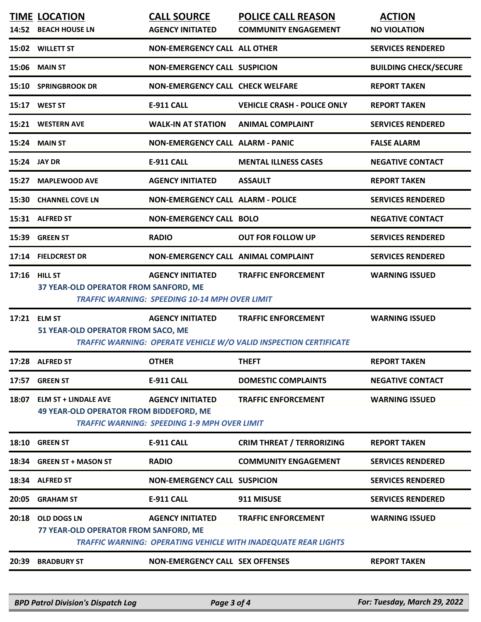|       | <b>TIME LOCATION</b><br>14:52 BEACH HOUSE LN                                  | <b>CALL SOURCE</b><br><b>AGENCY INITIATED</b>                                    | <b>POLICE CALL REASON</b><br><b>COMMUNITY ENGAGEMENT</b>                                               | <b>ACTION</b><br><b>NO VIOLATION</b> |
|-------|-------------------------------------------------------------------------------|----------------------------------------------------------------------------------|--------------------------------------------------------------------------------------------------------|--------------------------------------|
|       | 15:02 WILLETT ST                                                              | <b>NON-EMERGENCY CALL ALL OTHER</b>                                              |                                                                                                        | <b>SERVICES RENDERED</b>             |
|       | <b>15:06 MAIN ST</b>                                                          | <b>NON-EMERGENCY CALL SUSPICION</b>                                              |                                                                                                        | <b>BUILDING CHECK/SECURE</b>         |
|       | 15:10 SPRINGBROOK DR                                                          | <b>NON-EMERGENCY CALL CHECK WELFARE</b>                                          |                                                                                                        | <b>REPORT TAKEN</b>                  |
|       | 15:17 WEST ST                                                                 | E-911 CALL                                                                       | <b>VEHICLE CRASH - POLICE ONLY</b>                                                                     | <b>REPORT TAKEN</b>                  |
|       | 15:21 WESTERN AVE                                                             | <b>WALK-IN AT STATION</b>                                                        | <b>ANIMAL COMPLAINT</b>                                                                                | <b>SERVICES RENDERED</b>             |
|       | <b>15:24 MAIN ST</b>                                                          | <b>NON-EMERGENCY CALL ALARM - PANIC</b>                                          |                                                                                                        | <b>FALSE ALARM</b>                   |
|       | 15:24 JAY DR                                                                  | <b>E-911 CALL</b>                                                                | <b>MENTAL ILLNESS CASES</b>                                                                            | <b>NEGATIVE CONTACT</b>              |
| 15:27 | <b>MAPLEWOOD AVE</b>                                                          | <b>AGENCY INITIATED</b>                                                          | <b>ASSAULT</b>                                                                                         | <b>REPORT TAKEN</b>                  |
|       | 15:30 CHANNEL COVE LN                                                         | <b>NON-EMERGENCY CALL ALARM - POLICE</b>                                         |                                                                                                        | <b>SERVICES RENDERED</b>             |
|       | 15:31 ALFRED ST                                                               | <b>NON-EMERGENCY CALL BOLO</b>                                                   |                                                                                                        | <b>NEGATIVE CONTACT</b>              |
|       | 15:39 GREEN ST                                                                | <b>RADIO</b>                                                                     | <b>OUT FOR FOLLOW UP</b>                                                                               | <b>SERVICES RENDERED</b>             |
|       | 17:14 FIELDCREST DR                                                           | NON-EMERGENCY CALL ANIMAL COMPLAINT                                              |                                                                                                        | <b>SERVICES RENDERED</b>             |
|       | 17:16 HILL ST<br>37 YEAR-OLD OPERATOR FROM SANFORD, ME                        | <b>AGENCY INITIATED</b><br><b>TRAFFIC WARNING: SPEEDING 10-14 MPH OVER LIMIT</b> | <b>TRAFFIC ENFORCEMENT</b>                                                                             | <b>WARNING ISSUED</b>                |
|       |                                                                               |                                                                                  |                                                                                                        |                                      |
|       | 17:21 ELM ST<br>51 YEAR-OLD OPERATOR FROM SACO, ME                            | <b>AGENCY INITIATED</b>                                                          | <b>TRAFFIC ENFORCEMENT</b><br><b>TRAFFIC WARNING: OPERATE VEHICLE W/O VALID INSPECTION CERTIFICATE</b> | <b>WARNING ISSUED</b>                |
|       | 17:28 ALFRED ST                                                               | <b>OTHER</b>                                                                     | <b>THEFT</b>                                                                                           | <b>REPORT TAKEN</b>                  |
|       | 17:57 GREEN ST                                                                | <b>E-911 CALL</b>                                                                | <b>DOMESTIC COMPLAINTS</b>                                                                             | <b>NEGATIVE CONTACT</b>              |
| 18:07 | <b>ELM ST + LINDALE AVE</b><br><b>49 YEAR-OLD OPERATOR FROM BIDDEFORD, ME</b> | <b>AGENCY INITIATED</b><br><b>TRAFFIC WARNING: SPEEDING 1-9 MPH OVER LIMIT</b>   | <b>TRAFFIC ENFORCEMENT</b>                                                                             | <b>WARNING ISSUED</b>                |
|       | <b>GREEN ST</b>                                                               | <b>E-911 CALL</b>                                                                | <b>CRIM THREAT / TERRORIZING</b>                                                                       | <b>REPORT TAKEN</b>                  |
| 18:10 | 18:34 GREEN ST + MASON ST                                                     | <b>RADIO</b>                                                                     | <b>COMMUNITY ENGAGEMENT</b>                                                                            | <b>SERVICES RENDERED</b>             |
|       | 18:34 ALFRED ST                                                               | <b>NON-EMERGENCY CALL SUSPICION</b>                                              |                                                                                                        | <b>SERVICES RENDERED</b>             |
| 20:05 | <b>GRAHAM ST</b>                                                              | <b>E-911 CALL</b>                                                                | 911 MISUSE                                                                                             | <b>SERVICES RENDERED</b>             |
| 20:18 | OLD DOGS LN<br>77 YEAR-OLD OPERATOR FROM SANFORD, ME                          | <b>AGENCY INITIATED</b>                                                          | <b>TRAFFIC ENFORCEMENT</b><br><b>TRAFFIC WARNING: OPERATING VEHICLE WITH INADEQUATE REAR LIGHTS</b>    | <b>WARNING ISSUED</b>                |

*BPD Patrol Division's Dispatch Log Page 3 of 4 For: Tuesday, March 29, 2022*